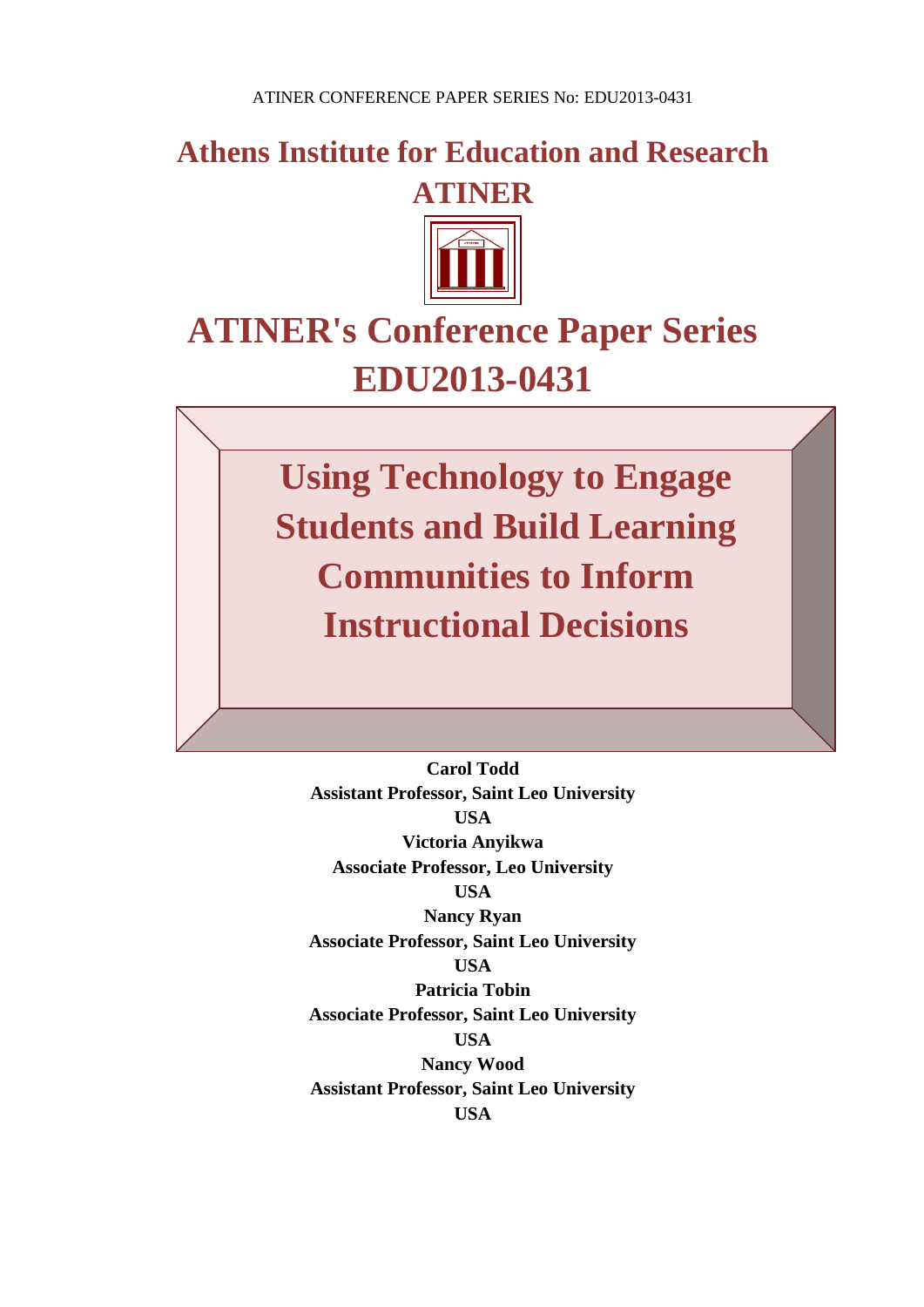**Athens Institute for Education and Research ATINER**



# **ATINER's Conference Paper Series EDU2013-0431**

**Using Technology to Engage Students and Build Learning Communities to Inform Instructional Decisions**

**Carol Todd Assistant Professor, Saint Leo University USA Victoria Anyikwa Associate Professor, Leo University USA Nancy Ryan Associate Professor, Saint Leo University USA Patricia Tobin Associate Professor, Saint Leo University USA Nancy Wood Assistant Professor, Saint Leo University USA**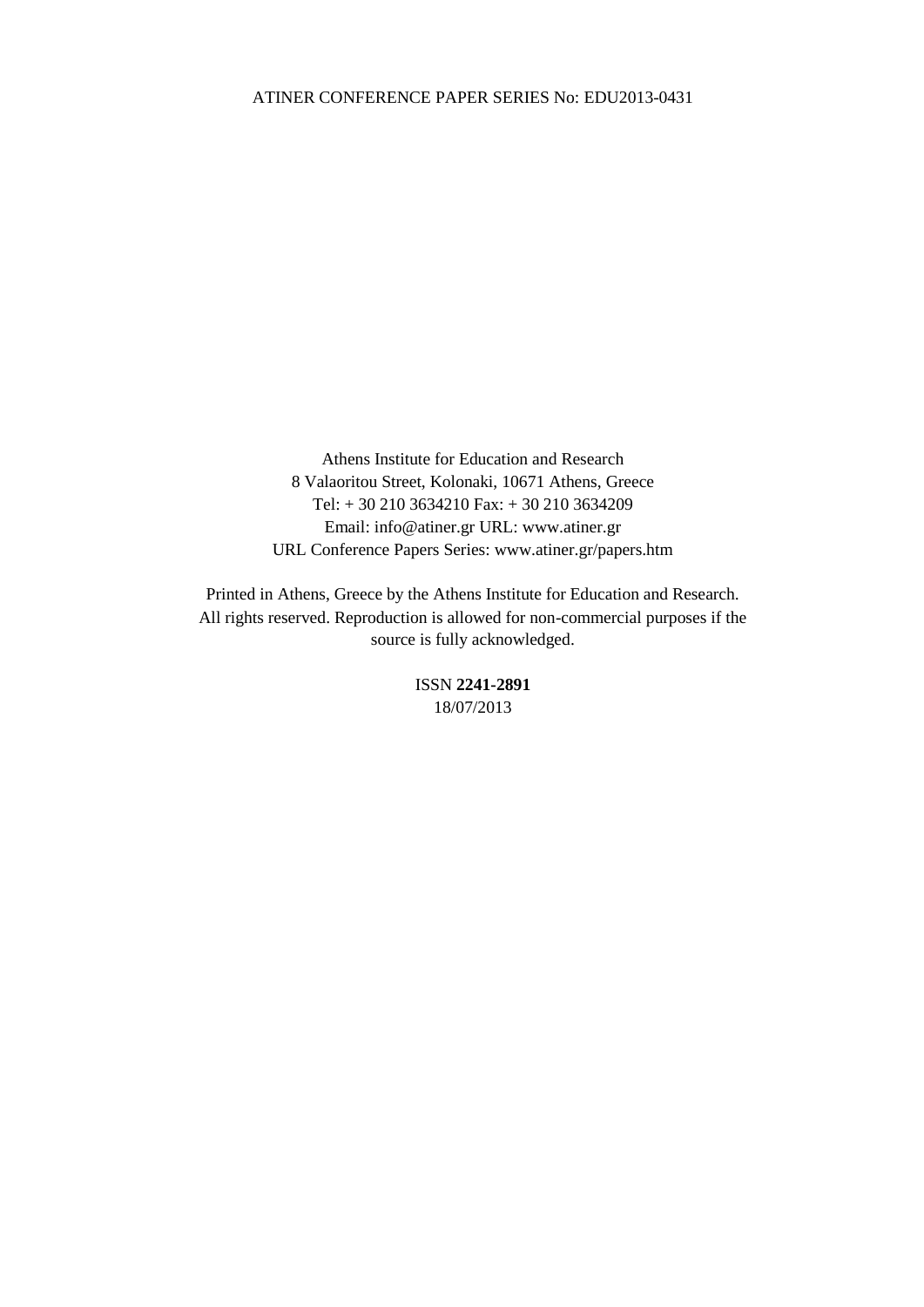Athens Institute for Education and Research 8 Valaoritou Street, Kolonaki, 10671 Athens, Greece Tel: + 30 210 3634210 Fax: + 30 210 3634209 Email: info@atiner.gr URL: www.atiner.gr URL Conference Papers Series: www.atiner.gr/papers.htm

Printed in Athens, Greece by the Athens Institute for Education and Research. All rights reserved. Reproduction is allowed for non-commercial purposes if the source is fully acknowledged.

> ISSN **2241-2891** 18/07/2013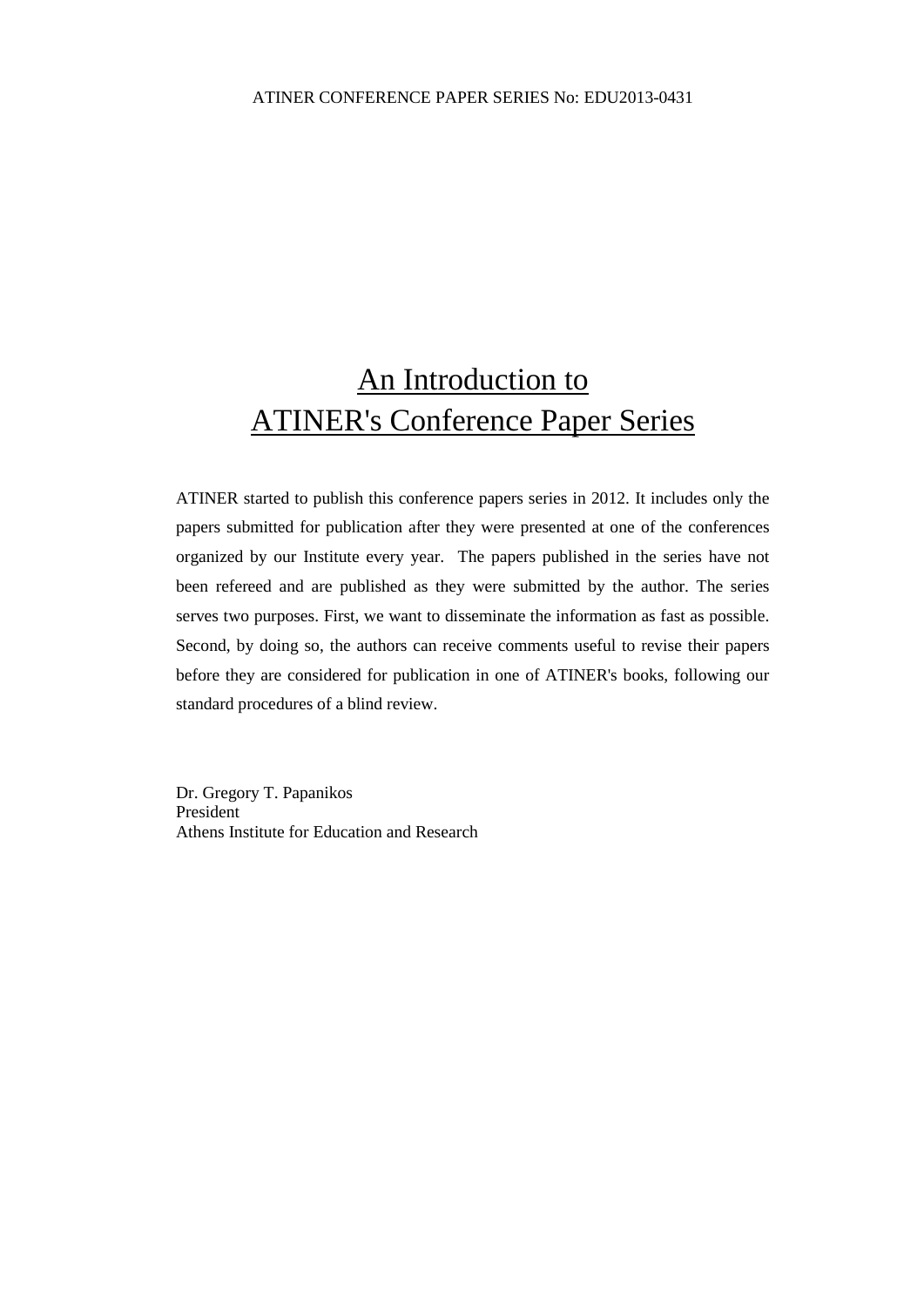## An Introduction to ATINER's Conference Paper Series

ATINER started to publish this conference papers series in 2012. It includes only the papers submitted for publication after they were presented at one of the conferences organized by our Institute every year. The papers published in the series have not been refereed and are published as they were submitted by the author. The series serves two purposes. First, we want to disseminate the information as fast as possible. Second, by doing so, the authors can receive comments useful to revise their papers before they are considered for publication in one of ATINER's books, following our standard procedures of a blind review.

Dr. Gregory T. Papanikos President Athens Institute for Education and Research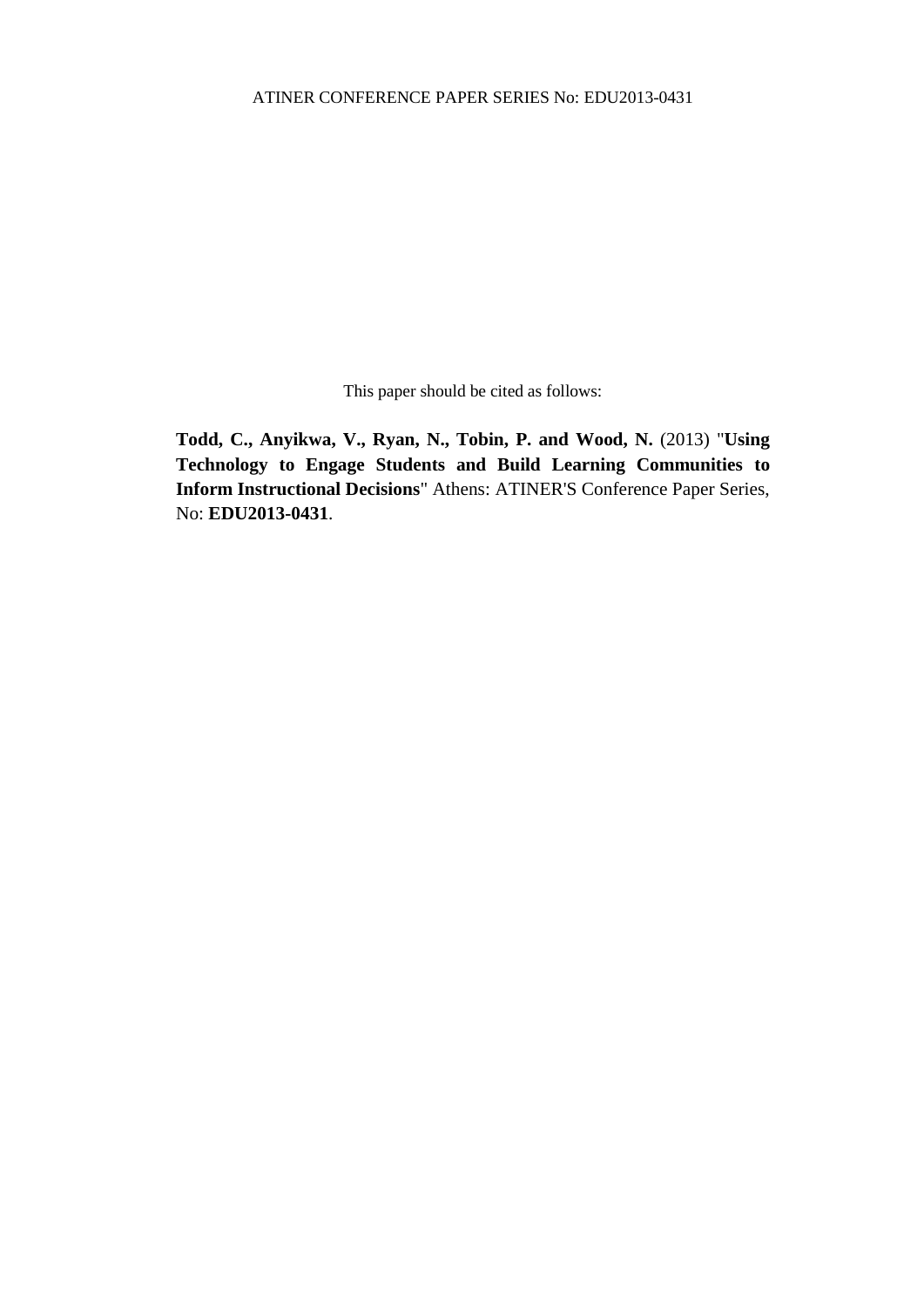This paper should be cited as follows:

**Todd, C., Anyikwa, V., Ryan, N., Tobin, P. and Wood, N.** (2013) "**Using Technology to Engage Students and Build Learning Communities to Inform Instructional Decisions**" Athens: ATINER'S Conference Paper Series, No: **EDU2013-0431**.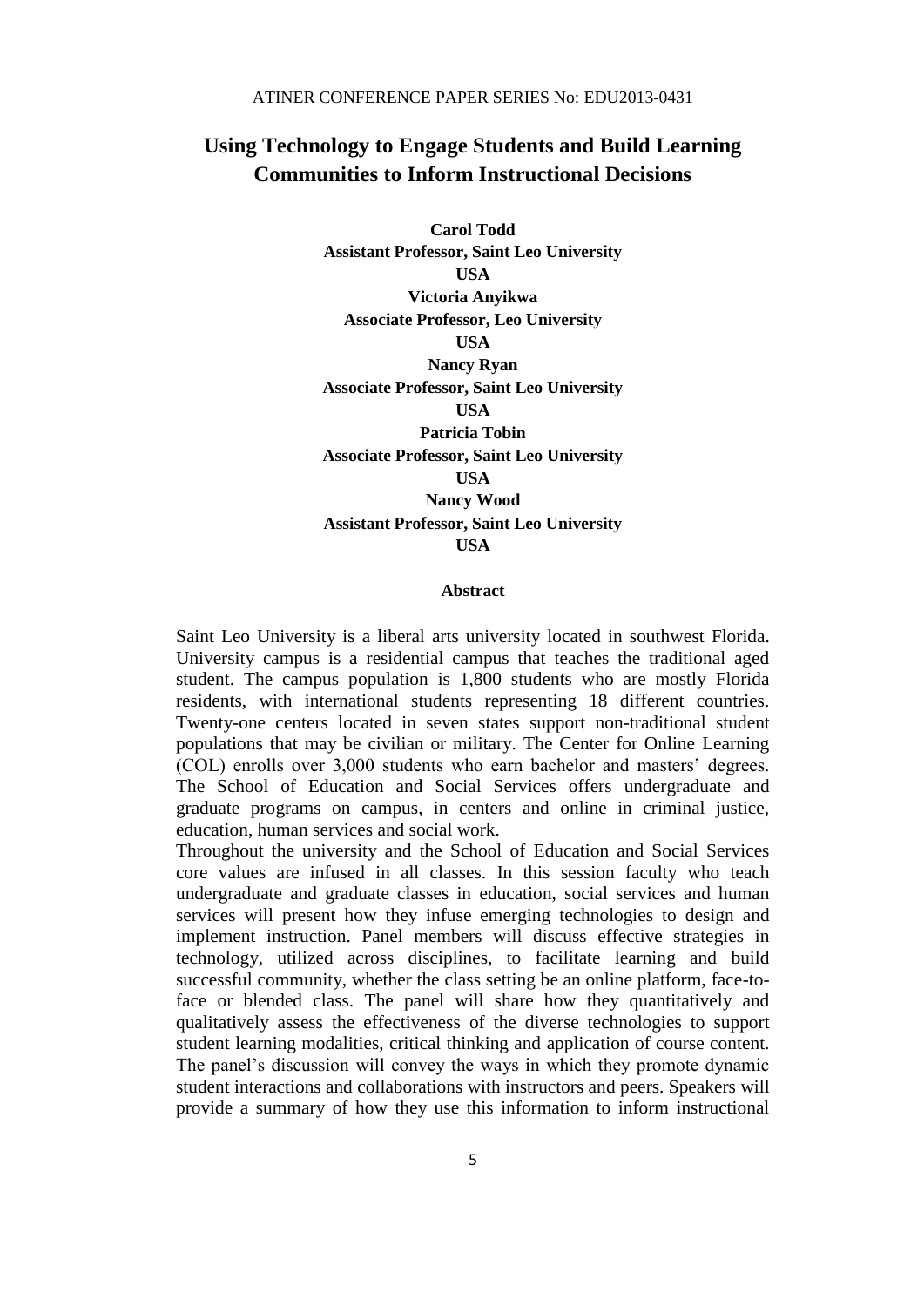## **Using Technology to Engage Students and Build Learning Communities to Inform Instructional Decisions**

**Carol Todd Assistant Professor, Saint Leo University USA Victoria Anyikwa Associate Professor, Leo University USA Nancy Ryan Associate Professor, Saint Leo University USA Patricia Tobin Associate Professor, Saint Leo University USA Nancy Wood Assistant Professor, Saint Leo University USA**

#### **Abstract**

Saint Leo University is a liberal arts university located in southwest Florida. University campus is a residential campus that teaches the traditional aged student. The campus population is 1,800 students who are mostly Florida residents, with international students representing 18 different countries. Twenty-one centers located in seven states support non-traditional student populations that may be civilian or military. The Center for Online Learning (COL) enrolls over 3,000 students who earn bachelor and masters' degrees. The School of Education and Social Services offers undergraduate and graduate programs on campus, in centers and online in criminal justice, education, human services and social work.

Throughout the university and the School of Education and Social Services core values are infused in all classes. In this session faculty who teach undergraduate and graduate classes in education, social services and human services will present how they infuse emerging technologies to design and implement instruction. Panel members will discuss effective strategies in technology, utilized across disciplines, to facilitate learning and build successful community, whether the class setting be an online platform, face-toface or blended class. The panel will share how they quantitatively and qualitatively assess the effectiveness of the diverse technologies to support student learning modalities, critical thinking and application of course content. The panel's discussion will convey the ways in which they promote dynamic student interactions and collaborations with instructors and peers. Speakers will provide a summary of how they use this information to inform instructional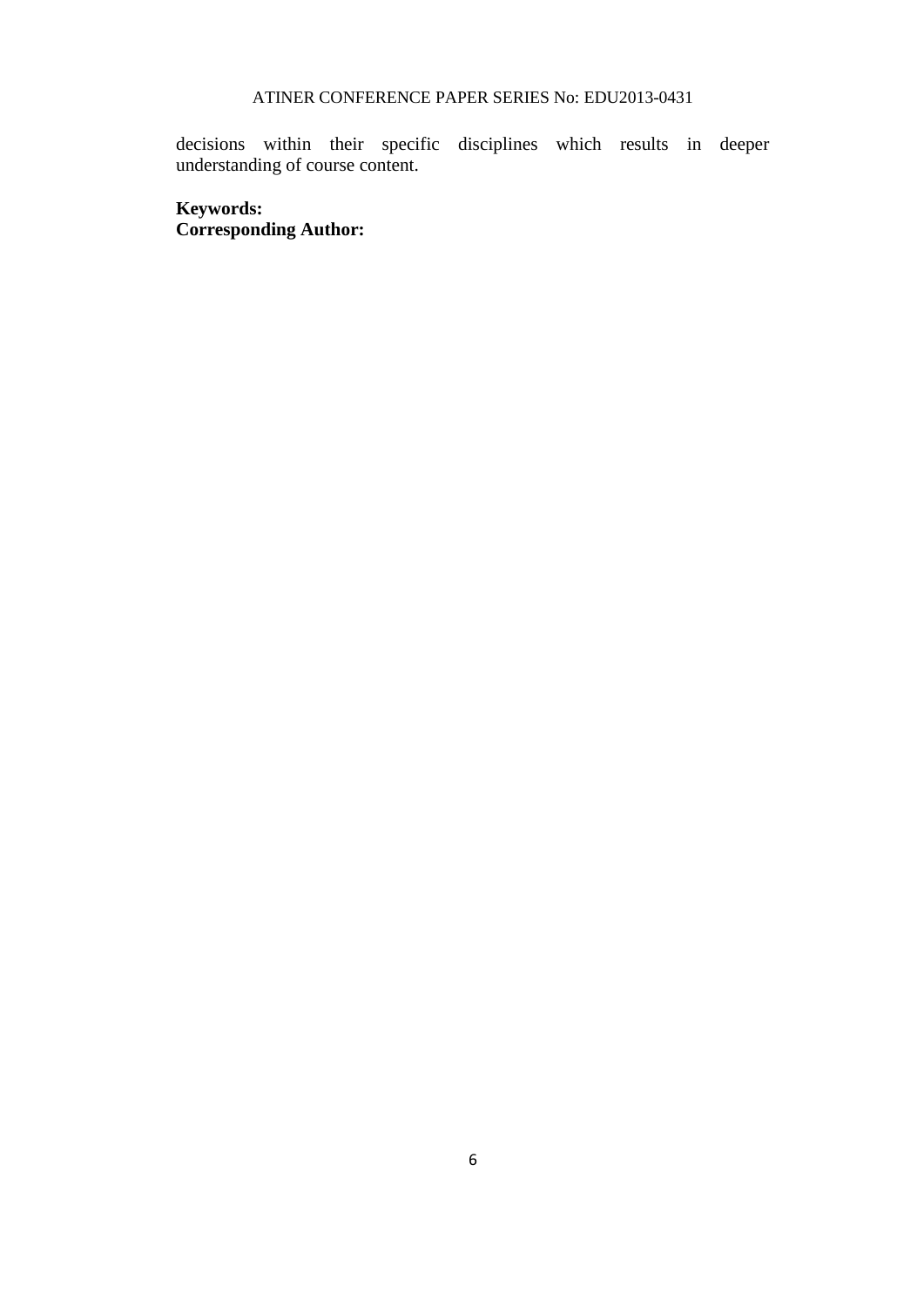decisions within their specific disciplines which results in deeper understanding of course content.

## **Keywords: Corresponding Author:**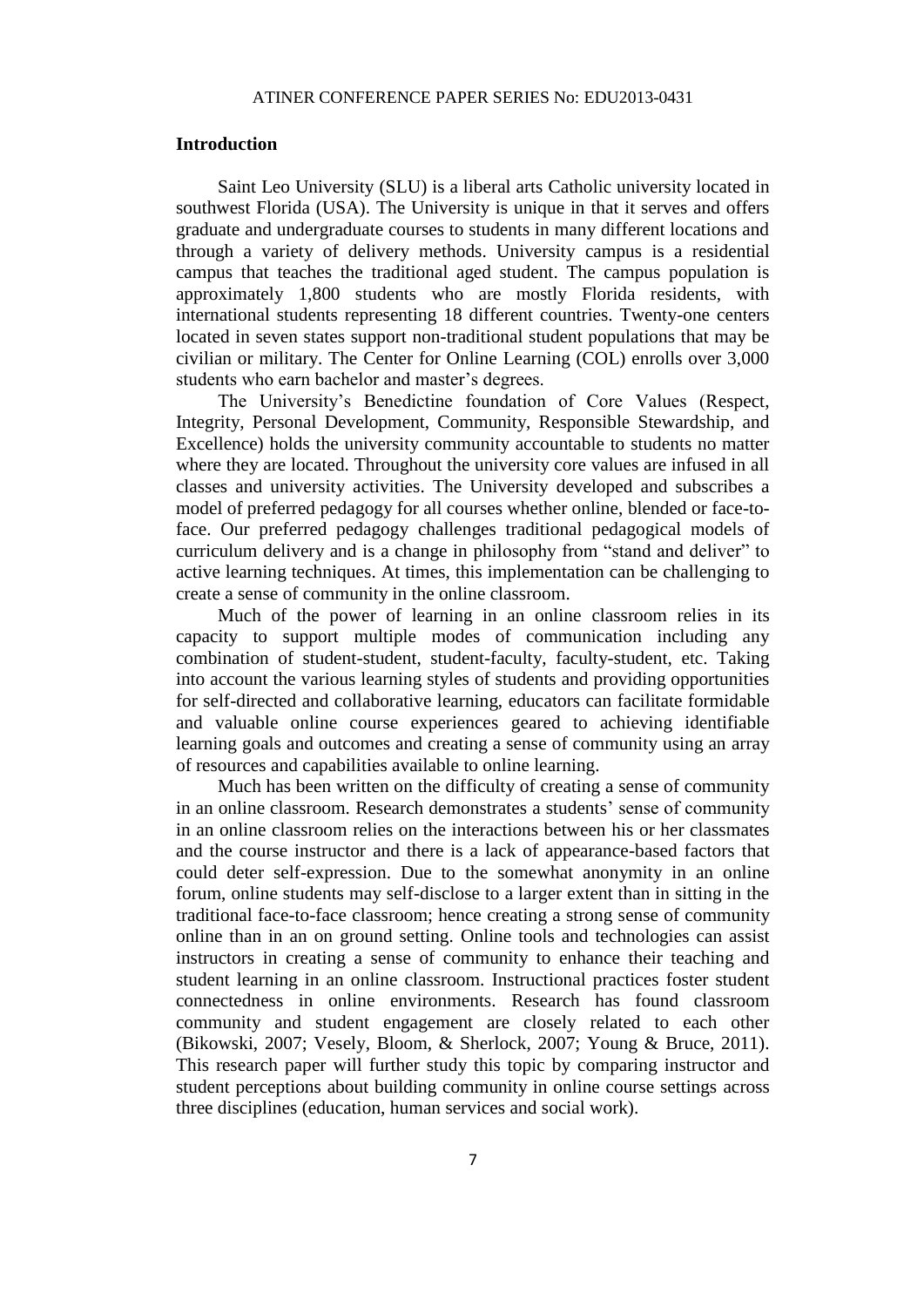#### **Introduction**

Saint Leo University (SLU) is a liberal arts Catholic university located in southwest Florida (USA). The University is unique in that it serves and offers graduate and undergraduate courses to students in many different locations and through a variety of delivery methods. University campus is a residential campus that teaches the traditional aged student. The campus population is approximately 1,800 students who are mostly Florida residents, with international students representing 18 different countries. Twenty-one centers located in seven states support non-traditional student populations that may be civilian or military. The Center for Online Learning (COL) enrolls over 3,000 students who earn bachelor and master's degrees.

The University's Benedictine foundation of Core Values (Respect, Integrity, Personal Development, Community, Responsible Stewardship, and Excellence) holds the university community accountable to students no matter where they are located. Throughout the university core values are infused in all classes and university activities. The University developed and subscribes a model of preferred pedagogy for all courses whether online, blended or face-toface. Our preferred pedagogy challenges traditional pedagogical models of curriculum delivery and is a change in philosophy from "stand and deliver" to active learning techniques. At times, this implementation can be challenging to create a sense of community in the online classroom.

Much of the power of learning in an online classroom relies in its capacity to support multiple modes of communication including any combination of student-student, student-faculty, faculty-student, etc. Taking into account the various learning styles of students and providing opportunities for self-directed and collaborative learning, educators can facilitate formidable and valuable online course experiences geared to achieving identifiable learning goals and outcomes and creating a sense of community using an array of resources and capabilities available to online learning.

Much has been written on the difficulty of creating a sense of community in an online classroom. Research demonstrates a students' sense of community in an online classroom relies on the interactions between his or her classmates and the course instructor and there is a lack of appearance-based factors that could deter self-expression. Due to the somewhat anonymity in an online forum, online students may self-disclose to a larger extent than in sitting in the traditional face-to-face classroom; hence creating a strong sense of community online than in an on ground setting. Online tools and technologies can assist instructors in creating a sense of community to enhance their teaching and student learning in an online classroom. Instructional practices foster student connectedness in online environments. Research has found classroom community and student engagement are closely related to each other (Bikowski, 2007; Vesely, Bloom, & Sherlock, 2007; Young & Bruce, 2011). This research paper will further study this topic by comparing instructor and student perceptions about building community in online course settings across three disciplines (education, human services and social work).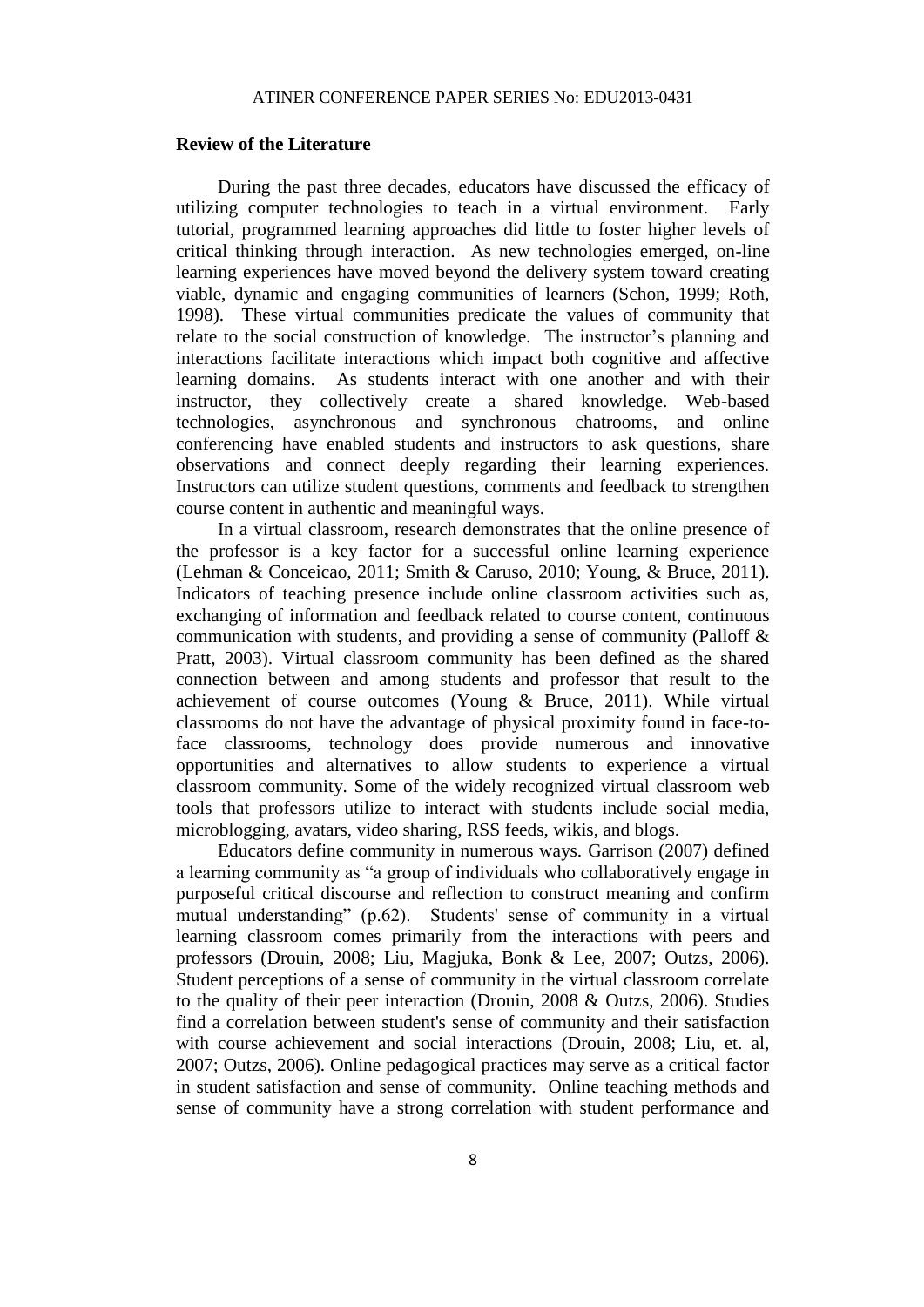#### **Review of the Literature**

During the past three decades, educators have discussed the efficacy of utilizing computer technologies to teach in a virtual environment. Early tutorial, programmed learning approaches did little to foster higher levels of critical thinking through interaction. As new technologies emerged, on-line learning experiences have moved beyond the delivery system toward creating viable, dynamic and engaging communities of learners (Schon, 1999; Roth, 1998). These virtual communities predicate the values of community that relate to the social construction of knowledge. The instructor's planning and interactions facilitate interactions which impact both cognitive and affective learning domains. As students interact with one another and with their instructor, they collectively create a shared knowledge. Web-based technologies, asynchronous and synchronous chatrooms, and online conferencing have enabled students and instructors to ask questions, share observations and connect deeply regarding their learning experiences. Instructors can utilize student questions, comments and feedback to strengthen course content in authentic and meaningful ways.

In a virtual classroom, research demonstrates that the online presence of the professor is a key factor for a successful online learning experience (Lehman & Conceicao, 2011; Smith & Caruso, 2010; Young, & Bruce, 2011). Indicators of teaching presence include online classroom activities such as, exchanging of information and feedback related to course content, continuous communication with students, and providing a sense of community (Palloff  $\&$ Pratt, 2003). Virtual classroom community has been defined as the shared connection between and among students and professor that result to the achievement of course outcomes (Young & Bruce, 2011). While virtual classrooms do not have the advantage of physical proximity found in face-toface classrooms, technology does provide numerous and innovative opportunities and alternatives to allow students to experience a virtual classroom community. Some of the widely recognized virtual classroom web tools that professors utilize to interact with students include social media, microblogging, avatars, video sharing, RSS feeds, wikis, and blogs.

Educators define community in numerous ways. Garrison (2007) defined a learning community as "a group of individuals who collaboratively engage in purposeful critical discourse and reflection to construct meaning and confirm mutual understanding" (p.62). Students' sense of community in a virtual learning classroom comes primarily from the interactions with peers and professors (Drouin, 2008; Liu, Magjuka, Bonk & Lee, 2007; Outzs, 2006). Student perceptions of a sense of community in the virtual classroom correlate to the quality of their peer interaction (Drouin, 2008 & Outzs, 2006). Studies find a correlation between student's sense of community and their satisfaction with course achievement and social interactions (Drouin, 2008; Liu, et. al, 2007; Outzs, 2006). Online pedagogical practices may serve as a critical factor in student satisfaction and sense of community. Online teaching methods and sense of community have a strong correlation with student performance and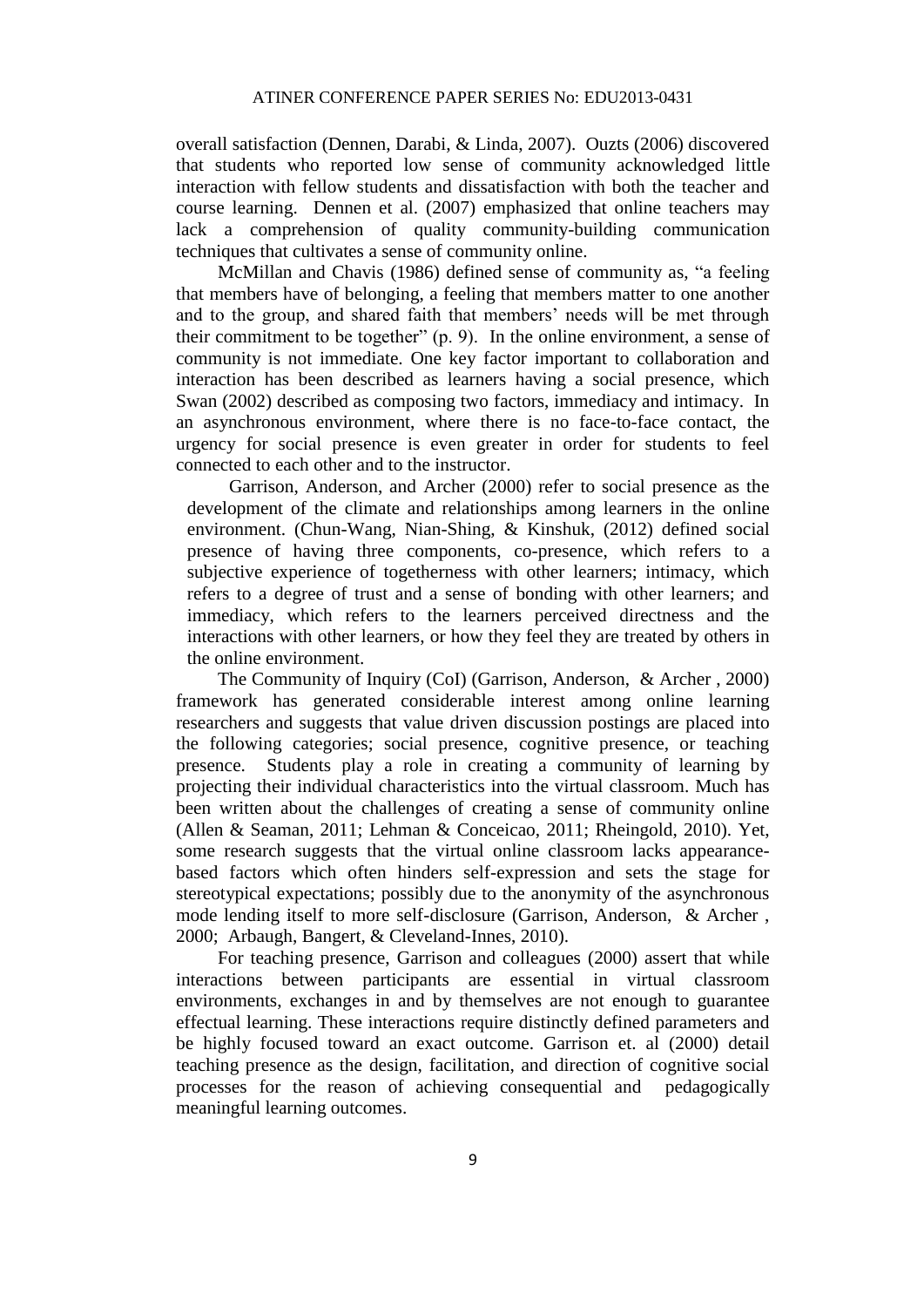overall satisfaction (Dennen, Darabi, & Linda, 2007). Ouzts (2006) discovered that students who reported low sense of community acknowledged little interaction with fellow students and dissatisfaction with both the teacher and course learning. Dennen et al. (2007) emphasized that online teachers may lack a comprehension of quality community-building communication techniques that cultivates a sense of community online.

McMillan and Chavis (1986) defined sense of community as, "a feeling that members have of belonging, a feeling that members matter to one another and to the group, and shared faith that members' needs will be met through their commitment to be together" (p. 9). In the online environment, a sense of community is not immediate. One key factor important to collaboration and interaction has been described as learners having a social presence, which Swan (2002) described as composing two factors, immediacy and intimacy. In an asynchronous environment, where there is no face-to-face contact, the urgency for social presence is even greater in order for students to feel connected to each other and to the instructor.

Garrison, Anderson, and Archer (2000) refer to social presence as the development of the climate and relationships among learners in the online environment. (Chun-Wang, Nian-Shing, & Kinshuk, (2012) defined social presence of having three components, co-presence, which refers to a subjective experience of togetherness with other learners; intimacy, which refers to a degree of trust and a sense of bonding with other learners; and immediacy, which refers to the learners perceived directness and the interactions with other learners, or how they feel they are treated by others in the online environment.

The Community of Inquiry (CoI) (Garrison, Anderson, & Archer , 2000) framework has generated considerable interest among online learning researchers and suggests that value driven discussion postings are placed into the following categories; social presence, cognitive presence, or teaching presence. Students play a role in creating a community of learning by projecting their individual characteristics into the virtual classroom. Much has been written about the challenges of creating a sense of community online (Allen & Seaman, 2011; Lehman & Conceicao, 2011; Rheingold, 2010). Yet, some research suggests that the virtual online classroom lacks appearancebased factors which often hinders self-expression and sets the stage for stereotypical expectations; possibly due to the anonymity of the asynchronous mode lending itself to more self-disclosure (Garrison, Anderson, & Archer , 2000; Arbaugh, Bangert, & Cleveland-Innes, 2010).

For teaching presence, Garrison and colleagues (2000) assert that while interactions between participants are essential in virtual classroom environments, exchanges in and by themselves are not enough to guarantee effectual learning. These interactions require distinctly defined parameters and be highly focused toward an exact outcome. Garrison et. al (2000) detail teaching presence as the design, facilitation, and direction of cognitive social processes for the reason of achieving consequential and pedagogically meaningful learning outcomes.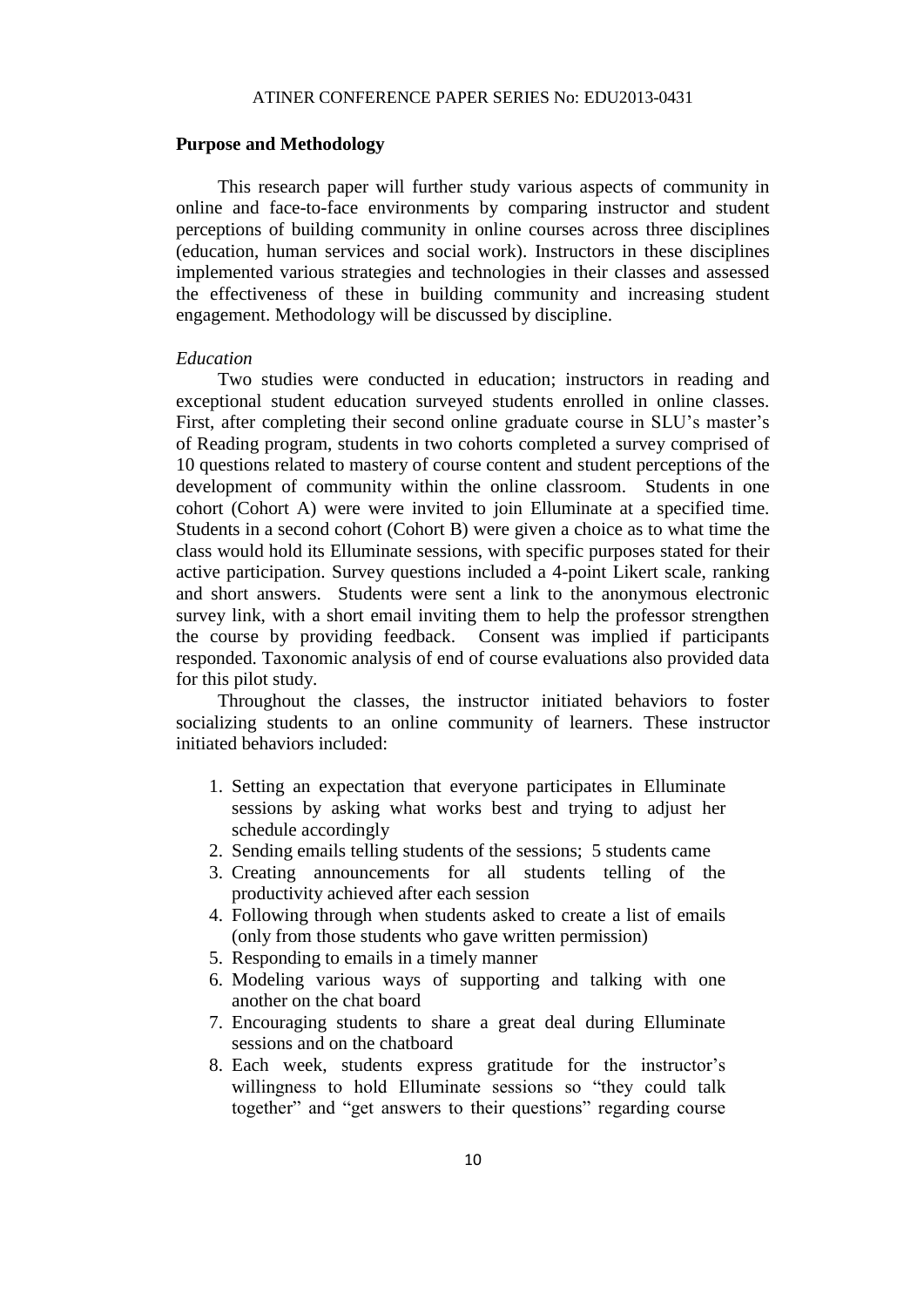#### **Purpose and Methodology**

This research paper will further study various aspects of community in online and face-to-face environments by comparing instructor and student perceptions of building community in online courses across three disciplines (education, human services and social work). Instructors in these disciplines implemented various strategies and technologies in their classes and assessed the effectiveness of these in building community and increasing student engagement. Methodology will be discussed by discipline.

#### *Education*

Two studies were conducted in education; instructors in reading and exceptional student education surveyed students enrolled in online classes. First, after completing their second online graduate course in SLU's master's of Reading program, students in two cohorts completed a survey comprised of 10 questions related to mastery of course content and student perceptions of the development of community within the online classroom. Students in one cohort (Cohort A) were were invited to join Elluminate at a specified time. Students in a second cohort (Cohort B) were given a choice as to what time the class would hold its Elluminate sessions, with specific purposes stated for their active participation. Survey questions included a 4-point Likert scale, ranking and short answers. Students were sent a link to the anonymous electronic survey link, with a short email inviting them to help the professor strengthen the course by providing feedback. Consent was implied if participants responded. Taxonomic analysis of end of course evaluations also provided data for this pilot study.

Throughout the classes, the instructor initiated behaviors to foster socializing students to an online community of learners. These instructor initiated behaviors included:

- 1. Setting an expectation that everyone participates in Elluminate sessions by asking what works best and trying to adjust her schedule accordingly
- 2. Sending emails telling students of the sessions; 5 students came
- 3. Creating announcements for all students telling of the productivity achieved after each session
- 4. Following through when students asked to create a list of emails (only from those students who gave written permission)
- 5. Responding to emails in a timely manner
- 6. Modeling various ways of supporting and talking with one another on the chat board
- 7. Encouraging students to share a great deal during Elluminate sessions and on the chatboard
- 8. Each week, students express gratitude for the instructor's willingness to hold Elluminate sessions so "they could talk together" and "get answers to their questions" regarding course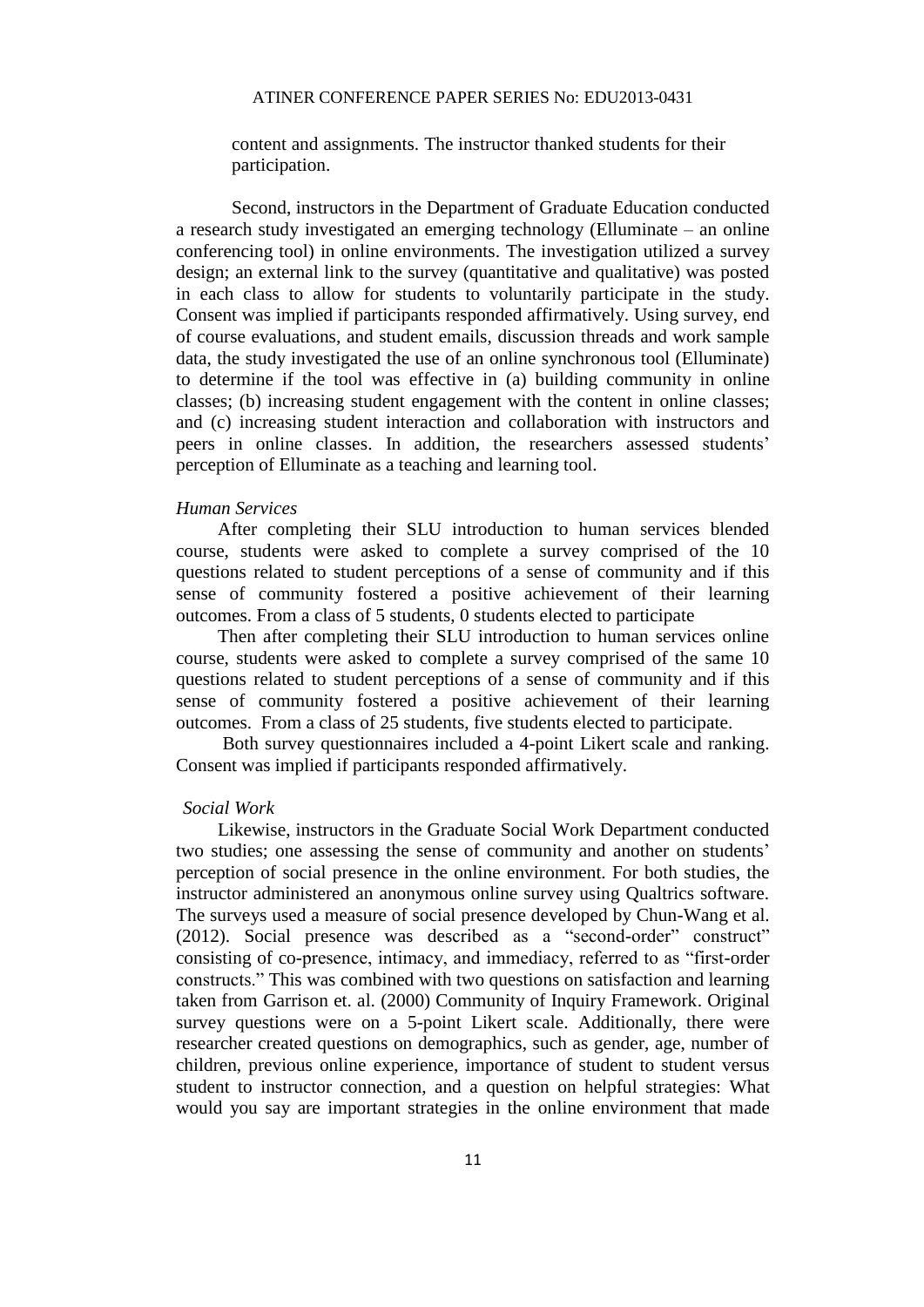content and assignments. The instructor thanked students for their participation.

Second, instructors in the Department of Graduate Education conducted a research study investigated an emerging technology (Elluminate – an online conferencing tool) in online environments. The investigation utilized a survey design; an external link to the survey (quantitative and qualitative) was posted in each class to allow for students to voluntarily participate in the study. Consent was implied if participants responded affirmatively. Using survey, end of course evaluations, and student emails, discussion threads and work sample data, the study investigated the use of an online synchronous tool (Elluminate) to determine if the tool was effective in (a) building community in online classes; (b) increasing student engagement with the content in online classes; and (c) increasing student interaction and collaboration with instructors and peers in online classes. In addition, the researchers assessed students' perception of Elluminate as a teaching and learning tool.

#### *Human Services*

After completing their SLU introduction to human services blended course, students were asked to complete a survey comprised of the 10 questions related to student perceptions of a sense of community and if this sense of community fostered a positive achievement of their learning outcomes. From a class of 5 students, 0 students elected to participate

Then after completing their SLU introduction to human services online course, students were asked to complete a survey comprised of the same 10 questions related to student perceptions of a sense of community and if this sense of community fostered a positive achievement of their learning outcomes. From a class of 25 students, five students elected to participate.

Both survey questionnaires included a 4-point Likert scale and ranking. Consent was implied if participants responded affirmatively.

#### *Social Work*

Likewise, instructors in the Graduate Social Work Department conducted two studies; one assessing the sense of community and another on students' perception of social presence in the online environment. For both studies, the instructor administered an anonymous online survey using Qualtrics software. The surveys used a measure of social presence developed by Chun-Wang et al. (2012). Social presence was described as a "second-order" construct" consisting of co-presence, intimacy, and immediacy, referred to as "first-order constructs." This was combined with two questions on satisfaction and learning taken from Garrison et. al. (2000) Community of Inquiry Framework. Original survey questions were on a 5-point Likert scale. Additionally, there were researcher created questions on demographics, such as gender, age, number of children, previous online experience, importance of student to student versus student to instructor connection, and a question on helpful strategies: What would you say are important strategies in the online environment that made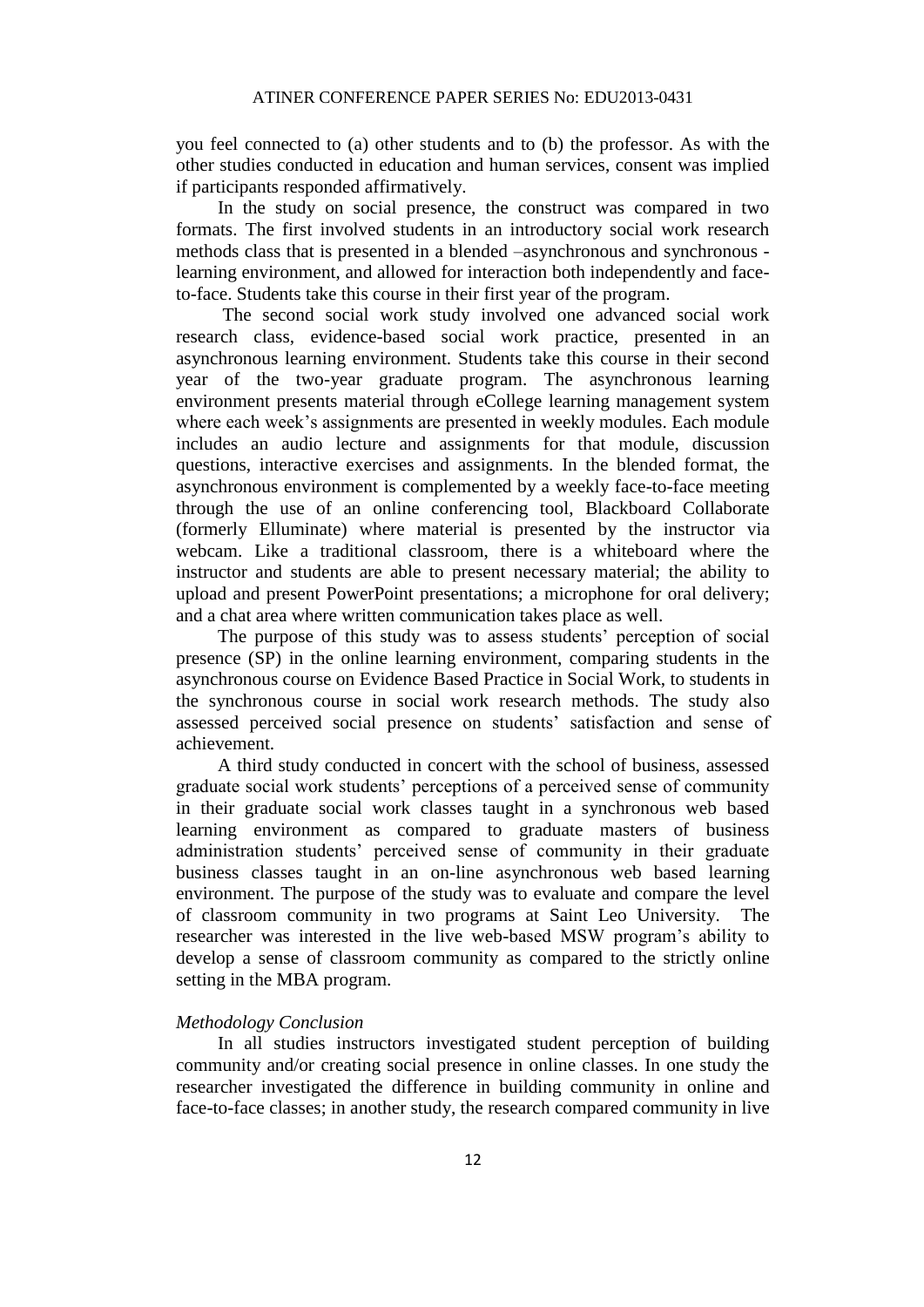you feel connected to (a) other students and to (b) the professor. As with the other studies conducted in education and human services, consent was implied if participants responded affirmatively.

In the study on social presence, the construct was compared in two formats. The first involved students in an introductory social work research methods class that is presented in a blended –asynchronous and synchronous learning environment, and allowed for interaction both independently and faceto-face. Students take this course in their first year of the program.

The second social work study involved one advanced social work research class, evidence-based social work practice, presented in an asynchronous learning environment. Students take this course in their second year of the two-year graduate program. The asynchronous learning environment presents material through eCollege learning management system where each week's assignments are presented in weekly modules. Each module includes an audio lecture and assignments for that module, discussion questions, interactive exercises and assignments. In the blended format, the asynchronous environment is complemented by a weekly face-to-face meeting through the use of an online conferencing tool, Blackboard Collaborate (formerly Elluminate) where material is presented by the instructor via webcam. Like a traditional classroom, there is a whiteboard where the instructor and students are able to present necessary material; the ability to upload and present PowerPoint presentations; a microphone for oral delivery; and a chat area where written communication takes place as well.

The purpose of this study was to assess students' perception of social presence (SP) in the online learning environment, comparing students in the asynchronous course on Evidence Based Practice in Social Work, to students in the synchronous course in social work research methods. The study also assessed perceived social presence on students' satisfaction and sense of achievement.

A third study conducted in concert with the school of business, assessed graduate social work students' perceptions of a perceived sense of community in their graduate social work classes taught in a synchronous web based learning environment as compared to graduate masters of business administration students' perceived sense of community in their graduate business classes taught in an on-line asynchronous web based learning environment. The purpose of the study was to evaluate and compare the level of classroom community in two programs at Saint Leo University. The researcher was interested in the live web-based MSW program's ability to develop a sense of classroom community as compared to the strictly online setting in the MBA program.

#### *Methodology Conclusion*

In all studies instructors investigated student perception of building community and/or creating social presence in online classes. In one study the researcher investigated the difference in building community in online and face-to-face classes; in another study, the research compared community in live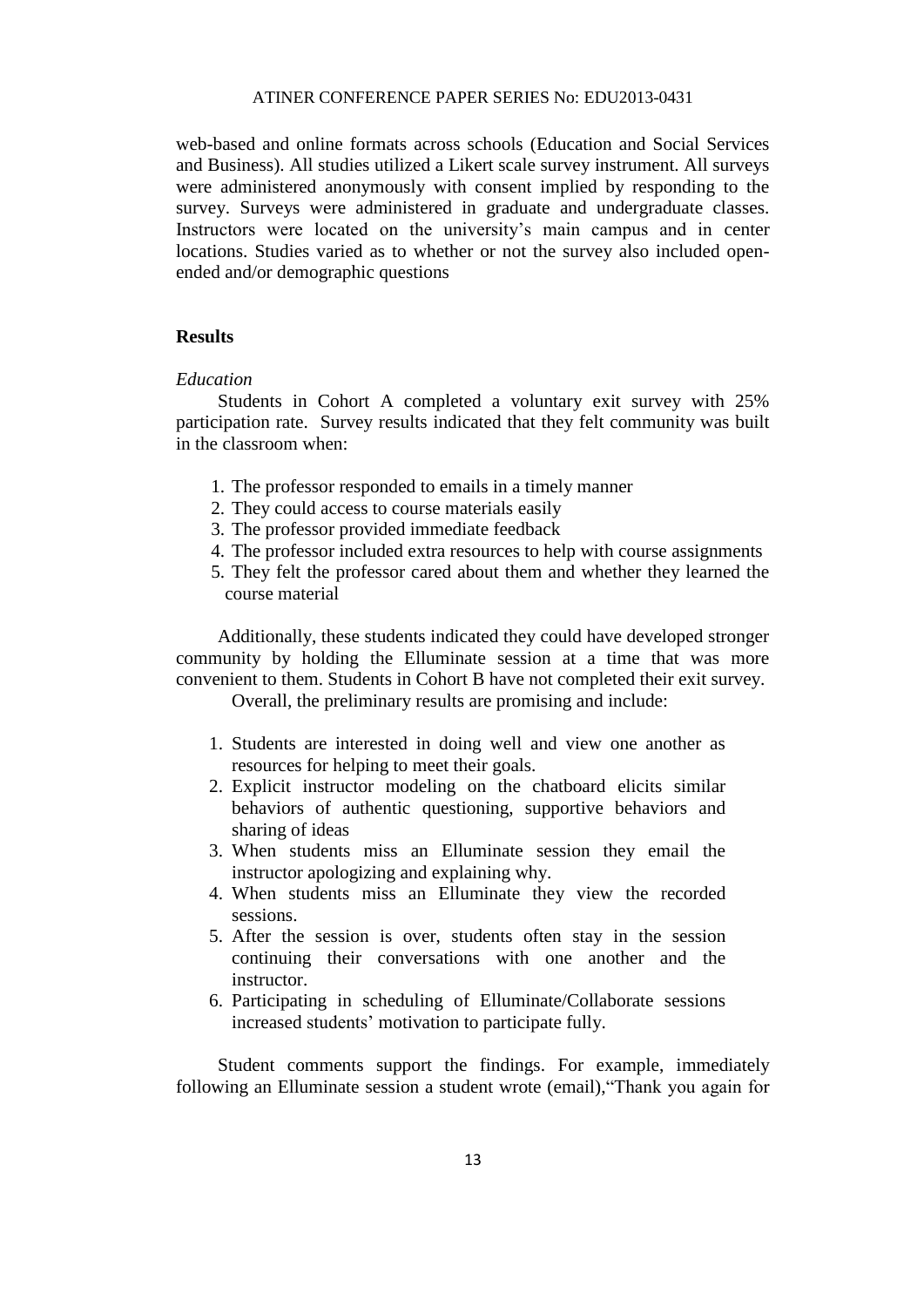web-based and online formats across schools (Education and Social Services and Business). All studies utilized a Likert scale survey instrument. All surveys were administered anonymously with consent implied by responding to the survey. Surveys were administered in graduate and undergraduate classes. Instructors were located on the university's main campus and in center locations. Studies varied as to whether or not the survey also included openended and/or demographic questions

#### **Results**

#### *Education*

Students in Cohort A completed a voluntary exit survey with 25% participation rate. Survey results indicated that they felt community was built in the classroom when:

- 1. The professor responded to emails in a timely manner
- 2. They could access to course materials easily
- 3. The professor provided immediate feedback
- 4. The professor included extra resources to help with course assignments
- 5. They felt the professor cared about them and whether they learned the course material

Additionally, these students indicated they could have developed stronger community by holding the Elluminate session at a time that was more convenient to them. Students in Cohort B have not completed their exit survey.

Overall, the preliminary results are promising and include:

- 1. Students are interested in doing well and view one another as resources for helping to meet their goals.
- 2. Explicit instructor modeling on the chatboard elicits similar behaviors of authentic questioning, supportive behaviors and sharing of ideas
- 3. When students miss an Elluminate session they email the instructor apologizing and explaining why.
- 4. When students miss an Elluminate they view the recorded sessions.
- 5. After the session is over, students often stay in the session continuing their conversations with one another and the instructor.
- 6. Participating in scheduling of Elluminate/Collaborate sessions increased students' motivation to participate fully.

Student comments support the findings. For example, immediately following an Elluminate session a student wrote (email),"Thank you again for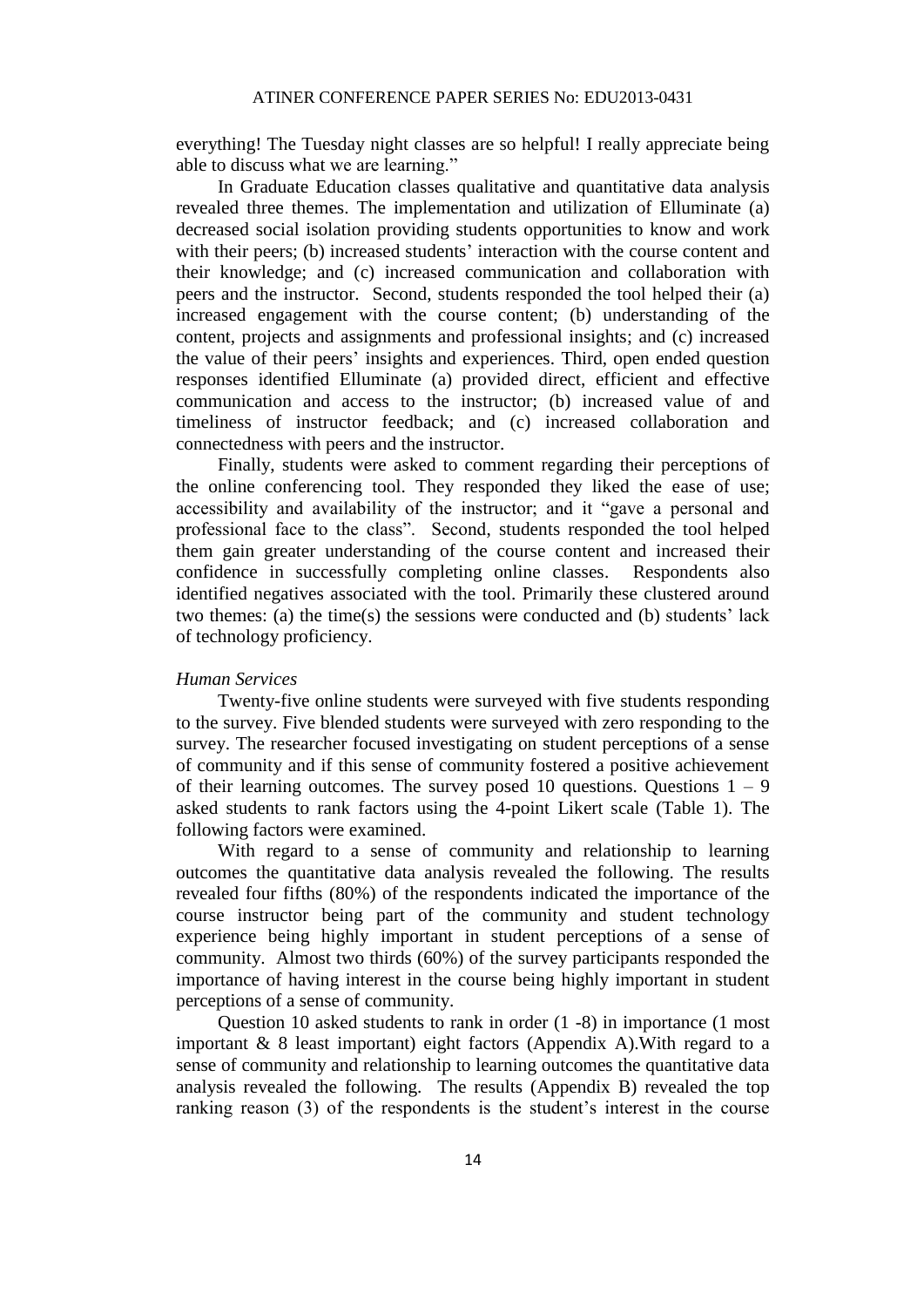everything! The Tuesday night classes are so helpful! I really appreciate being able to discuss what we are learning."

In Graduate Education classes qualitative and quantitative data analysis revealed three themes. The implementation and utilization of Elluminate (a) decreased social isolation providing students opportunities to know and work with their peers; (b) increased students' interaction with the course content and their knowledge; and (c) increased communication and collaboration with peers and the instructor. Second, students responded the tool helped their (a) increased engagement with the course content; (b) understanding of the content, projects and assignments and professional insights; and (c) increased the value of their peers' insights and experiences. Third, open ended question responses identified Elluminate (a) provided direct, efficient and effective communication and access to the instructor; (b) increased value of and timeliness of instructor feedback; and (c) increased collaboration and connectedness with peers and the instructor.

Finally, students were asked to comment regarding their perceptions of the online conferencing tool. They responded they liked the ease of use; accessibility and availability of the instructor; and it "gave a personal and professional face to the class". Second, students responded the tool helped them gain greater understanding of the course content and increased their confidence in successfully completing online classes. Respondents also identified negatives associated with the tool. Primarily these clustered around two themes: (a) the time(s) the sessions were conducted and (b) students' lack of technology proficiency.

#### *Human Services*

Twenty-five online students were surveyed with five students responding to the survey. Five blended students were surveyed with zero responding to the survey. The researcher focused investigating on student perceptions of a sense of community and if this sense of community fostered a positive achievement of their learning outcomes. The survey posed 10 questions. Questions  $1 - 9$ asked students to rank factors using the 4-point Likert scale (Table 1). The following factors were examined.

With regard to a sense of community and relationship to learning outcomes the quantitative data analysis revealed the following. The results revealed four fifths (80%) of the respondents indicated the importance of the course instructor being part of the community and student technology experience being highly important in student perceptions of a sense of community. Almost two thirds (60%) of the survey participants responded the importance of having interest in the course being highly important in student perceptions of a sense of community.

Question 10 asked students to rank in order (1 -8) in importance (1 most important & 8 least important) eight factors (Appendix A).With regard to a sense of community and relationship to learning outcomes the quantitative data analysis revealed the following. The results (Appendix B) revealed the top ranking reason (3) of the respondents is the student's interest in the course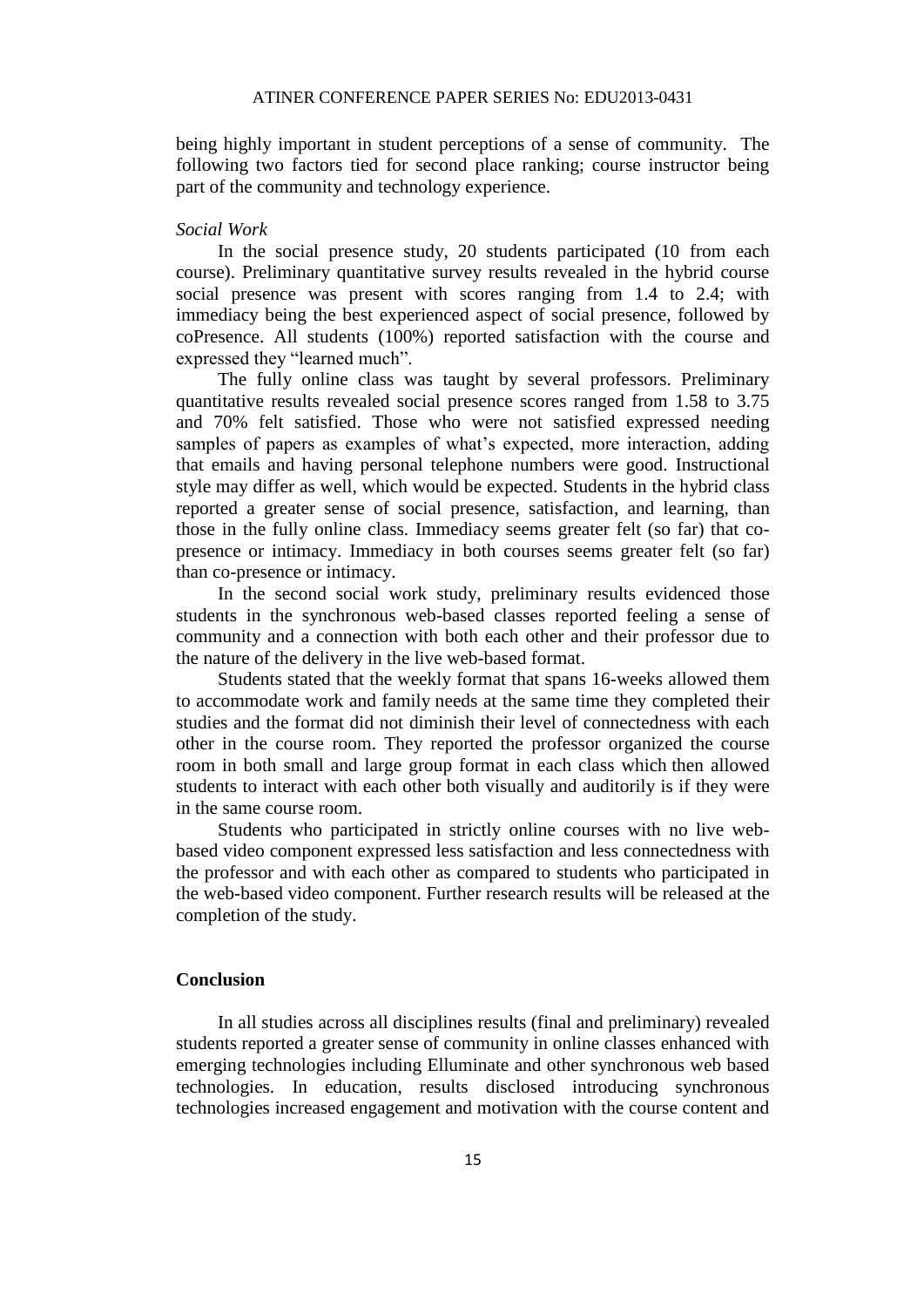being highly important in student perceptions of a sense of community. The following two factors tied for second place ranking; course instructor being part of the community and technology experience.

#### *Social Work*

In the social presence study, 20 students participated (10 from each course). Preliminary quantitative survey results revealed in the hybrid course social presence was present with scores ranging from 1.4 to 2.4; with immediacy being the best experienced aspect of social presence, followed by coPresence. All students (100%) reported satisfaction with the course and expressed they "learned much".

The fully online class was taught by several professors. Preliminary quantitative results revealed social presence scores ranged from 1.58 to 3.75 and 70% felt satisfied. Those who were not satisfied expressed needing samples of papers as examples of what's expected, more interaction, adding that emails and having personal telephone numbers were good. Instructional style may differ as well, which would be expected. Students in the hybrid class reported a greater sense of social presence, satisfaction, and learning, than those in the fully online class. Immediacy seems greater felt (so far) that copresence or intimacy. Immediacy in both courses seems greater felt (so far) than co-presence or intimacy.

In the second social work study, preliminary results evidenced those students in the synchronous web-based classes reported feeling a sense of community and a connection with both each other and their professor due to the nature of the delivery in the live web-based format.

Students stated that the weekly format that spans 16-weeks allowed them to accommodate work and family needs at the same time they completed their studies and the format did not diminish their level of connectedness with each other in the course room. They reported the professor organized the course room in both small and large group format in each class which then allowed students to interact with each other both visually and auditorily is if they were in the same course room.

Students who participated in strictly online courses with no live webbased video component expressed less satisfaction and less connectedness with the professor and with each other as compared to students who participated in the web-based video component. Further research results will be released at the completion of the study.

#### **Conclusion**

In all studies across all disciplines results (final and preliminary) revealed students reported a greater sense of community in online classes enhanced with emerging technologies including Elluminate and other synchronous web based technologies. In education, results disclosed introducing synchronous technologies increased engagement and motivation with the course content and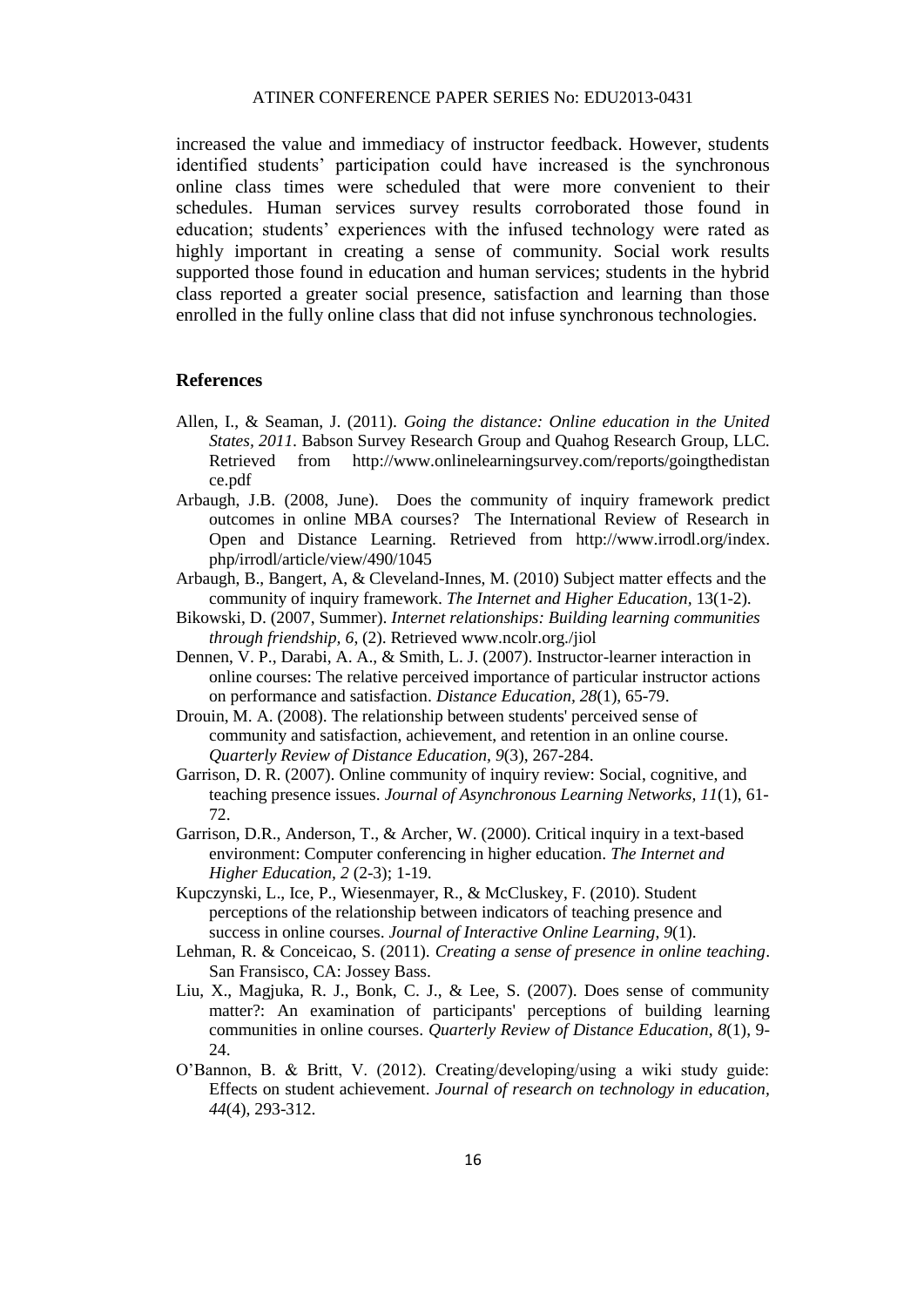increased the value and immediacy of instructor feedback. However, students identified students' participation could have increased is the synchronous online class times were scheduled that were more convenient to their schedules. Human services survey results corroborated those found in education; students' experiences with the infused technology were rated as highly important in creating a sense of community. Social work results supported those found in education and human services; students in the hybrid class reported a greater social presence, satisfaction and learning than those enrolled in the fully online class that did not infuse synchronous technologies.

#### **References**

- Allen, I., & Seaman, J. (2011). *Going the distance: Online education in the United States, 2011.* Babson Survey Research Group and Quahog Research Group, LLC. Retrieved from http://www.onlinelearningsurvey.com/reports/goingthedistan ce.pdf
- Arbaugh, J.B. (2008, June). Does the community of inquiry framework predict outcomes in online MBA courses? The International Review of Research in Open and Distance Learning. Retrieved from http://www.irrodl.org/index. php/irrodl/article/view/490/1045
- Arbaugh, B., Bangert, A, & Cleveland-Innes, M. (2010) Subject matter effects and the community of inquiry framework. *The Internet and Higher Education,* 13(1-2)*.*
- Bikowski, D. (2007, Summer). *Internet relationships: Building learning communities through friendship, 6*, (2). Retrieved www.ncolr.org./jiol
- Dennen, V. P., Darabi, A. A., & Smith, L. J. (2007). Instructor-learner interaction in online courses: The relative perceived importance of particular instructor actions on performance and satisfaction. *Distance Education, 28*(1), 65-79.
- Drouin, M. A. (2008). The relationship between students' perceived sense of community and satisfaction, achievement, and retention in an online course. *Quarterly Review of Distance Education, 9*(3), 267-284.
- Garrison, D. R. (2007). Online community of inquiry review: Social, cognitive, and teaching presence issues. *Journal of Asynchronous Learning Networks, 11*(1), 61- 72.
- Garrison, D.R., Anderson, T., & Archer, W. (2000). Critical inquiry in a text-based environment: Computer conferencing in higher education. *The Internet and Higher Education, 2* (2-3); 1-19.
- Kupczynski, L., Ice, P., Wiesenmayer, R., & McCluskey, F. (2010). Student perceptions of the relationship between indicators of teaching presence and success in online courses. *Journal of Interactive Online Learning*, *9*(1).
- Lehman, R. & Conceicao, S. (2011). *Creating a sense of presence in online teaching*. San Fransisco, CA: Jossey Bass.
- Liu, X., Magjuka, R. J., Bonk, C. J., & Lee, S. (2007). Does sense of community matter?: An examination of participants' perceptions of building learning communities in online courses. *Quarterly Review of Distance Education, 8*(1), 9- 24.
- O'Bannon, B. & Britt, V. (2012). Creating/developing/using a wiki study guide: Effects on student achievement. *Journal of research on technology in education, 44*(4), 293-312.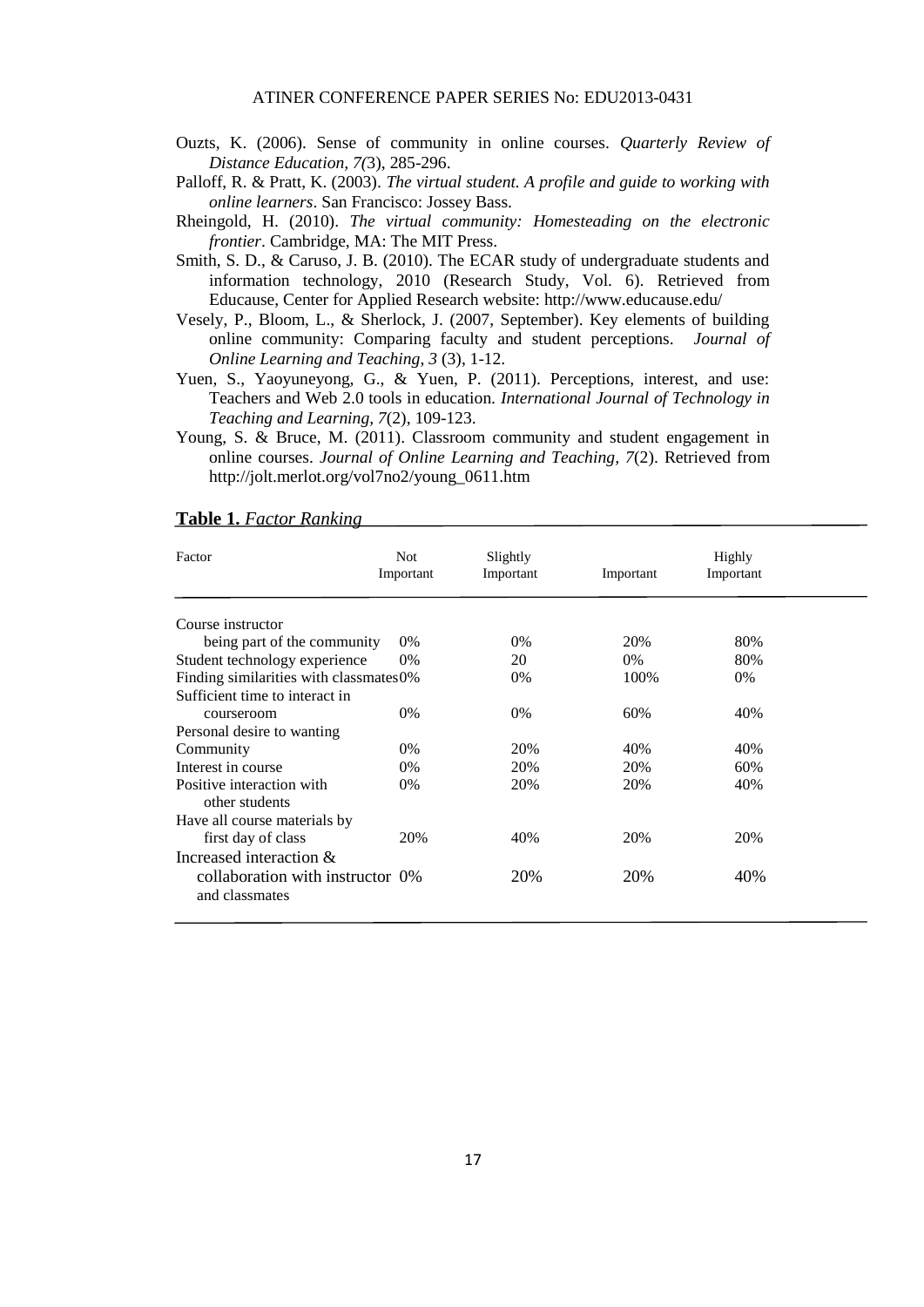- Ouzts, K. (2006). Sense of community in online courses. *Quarterly Review of Distance Education, 7(*3), 285-296.
- Palloff, R. & Pratt, K. (2003). *The virtual student. A profile and guide to working with online learners*. San Francisco: Jossey Bass.
- Rheingold, H. (2010). *The virtual community: Homesteading on the electronic frontier*. Cambridge, MA: The MIT Press.
- Smith, S. D., & Caruso, J. B. (2010). The ECAR study of undergraduate students and information technology, 2010 (Research Study, Vol. 6). Retrieved from Educause, Center for Applied Research website: http://www.educause.edu/
- Vesely, P., Bloom, L., & Sherlock, J. (2007, September). Key elements of building online community: Comparing faculty and student perceptions. *Journal of Online Learning and Teaching, 3* (3), 1-12.
- Yuen, S., Yaoyuneyong, G., & Yuen, P. (2011). Perceptions, interest, and use: Teachers and Web 2.0 tools in education. *International Journal of Technology in Teaching and Learning, 7*(2), 109-123.
- Young, S. & Bruce, M. (2011). Classroom community and student engagement in online courses. *Journal of Online Learning and Teaching, 7*(2). Retrieved from http://jolt.merlot.org/vol7no2/young\_0611.htm

#### **Table 1.** *Factor Ranking*

| Factor                                             | <b>Not</b><br>Important | Slightly<br>Important | Important | Highly<br>Important |  |
|----------------------------------------------------|-------------------------|-----------------------|-----------|---------------------|--|
| Course instructor                                  |                         |                       |           |                     |  |
| being part of the community                        | $0\%$                   | $0\%$                 | 20%       | 80%                 |  |
| Student technology experience                      | $0\%$                   | 20                    | $0\%$     | 80%                 |  |
| Finding similarities with classmates0%             |                         | $0\%$                 | 100%      | 0%                  |  |
| Sufficient time to interact in                     |                         |                       |           |                     |  |
| courseroom                                         | 0%                      | $0\%$                 | 60%       | 40%                 |  |
| Personal desire to wanting                         |                         |                       |           |                     |  |
| Community                                          | $0\%$                   | 20%                   | 40%       | 40%                 |  |
| Interest in course                                 | $0\%$                   | 20%                   | 20%       | 60%                 |  |
| Positive interaction with<br>other students        | $0\%$                   | 20%                   | 20%       | 40%                 |  |
| Have all course materials by                       |                         |                       |           |                     |  |
| first day of class                                 | 20%                     | 40%                   | 20%       | 20%                 |  |
| Increased interaction $\&$                         |                         |                       |           |                     |  |
| collaboration with instructor 0%<br>and classmates |                         | 20%                   | 20%       | 40%                 |  |